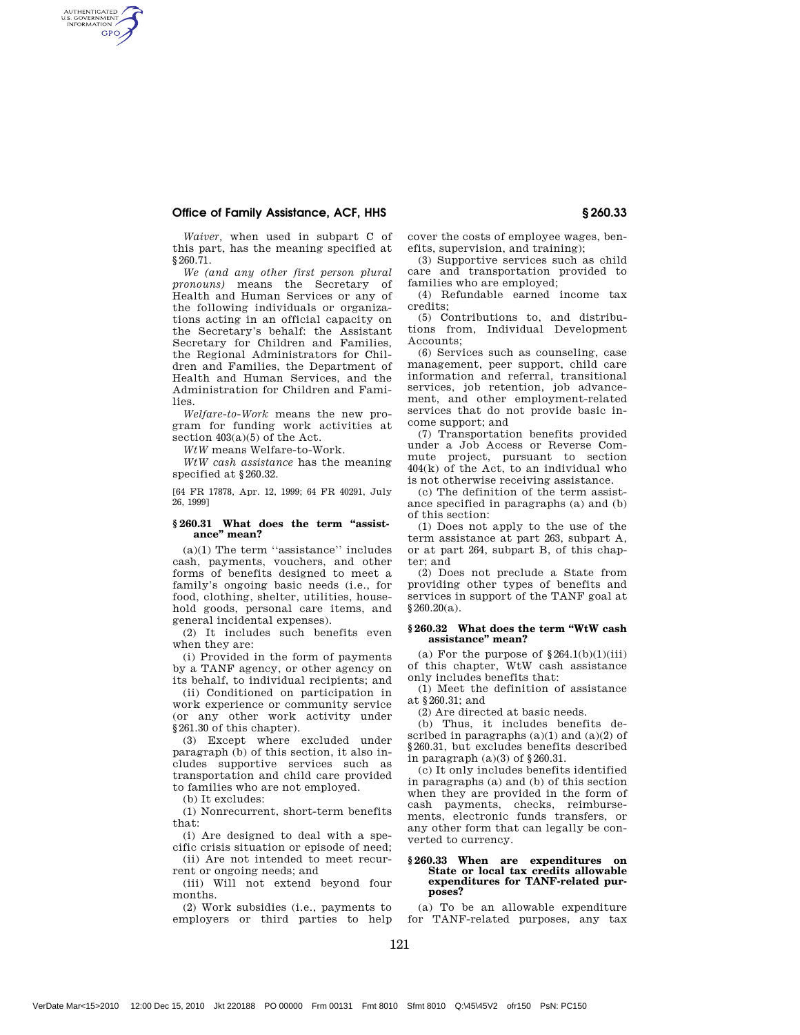# Office of Family Assistance, ACF, HHS § 260.33

AUTHENTICATED **GPO** 

> *Waiver,* when used in subpart C of this part, has the meaning specified at §260.71.

> *We (and any other first person plural pronouns)* means the Secretary of Health and Human Services or any of the following individuals or organizations acting in an official capacity on the Secretary's behalf: the Assistant Secretary for Children and Families, the Regional Administrators for Children and Families, the Department of Health and Human Services, and the Administration for Children and Families.

*Welfare-to-Work* means the new program for funding work activities at section  $403(a)(5)$  of the Act.

*WtW* means Welfare-to-Work.

*WtW cash assistance* has the meaning specified at §260.32.

[64 FR 17878, Apr. 12, 1999; 64 FR 40291, July 26, 1999]

#### **§ 260.31 What does the term ''assistance'' mean?**

(a)(1) The term ''assistance'' includes cash, payments, vouchers, and other forms of benefits designed to meet a family's ongoing basic needs (i.e., for food, clothing, shelter, utilities, household goods, personal care items, and general incidental expenses).

(2) It includes such benefits even when they are:

(i) Provided in the form of payments by a TANF agency, or other agency on its behalf, to individual recipients; and

(ii) Conditioned on participation in work experience or community service (or any other work activity under §261.30 of this chapter).

(3) Except where excluded under paragraph (b) of this section, it also includes supportive services such as transportation and child care provided to families who are not employed.

(b) It excludes:

(1) Nonrecurrent, short-term benefits that:

(i) Are designed to deal with a specific crisis situation or episode of need;

(ii) Are not intended to meet recurrent or ongoing needs; and

(iii) Will not extend beyond four months.

(2) Work subsidies (i.e., payments to employers or third parties to help

121

cover the costs of employee wages, benefits, supervision, and training);

(3) Supportive services such as child care and transportation provided to families who are employed;

(4) Refundable earned income tax credits;

(5) Contributions to, and distributions from, Individual Development Accounts;

(6) Services such as counseling, case management, peer support, child care information and referral, transitional services, job retention, job advancement, and other employment-related services that do not provide basic income support; and

(7) Transportation benefits provided under a Job Access or Reverse Commute project, pursuant to section 404(k) of the Act, to an individual who is not otherwise receiving assistance.

(c) The definition of the term assistance specified in paragraphs (a) and (b) of this section:

(1) Does not apply to the use of the term assistance at part 263, subpart A, or at part 264, subpart B, of this chapter; and

(2) Does not preclude a State from providing other types of benefits and services in support of the TANF goal at  $$260.20(a).$ 

### **§ 260.32 What does the term ''WtW cash assistance'' mean?**

(a) For the purpose of  $§264.1(b)(1)(iii)$ of this chapter, WtW cash assistance only includes benefits that:

(1) Meet the definition of assistance at §260.31; and

(2) Are directed at basic needs.

(b) Thus, it includes benefits described in paragraphs  $(a)(1)$  and  $(a)(2)$  of §260.31, but excludes benefits described in paragraph  $(a)(3)$  of  $\S 260.31$ .

(c) It only includes benefits identified in paragraphs (a) and (b) of this section when they are provided in the form of cash payments, checks, reimbursements, electronic funds transfers, or any other form that can legally be converted to currency.

## **§ 260.33 When are expenditures on State or local tax credits allowable expenditures for TANF-related purposes?**

(a) To be an allowable expenditure for TANF-related purposes, any tax